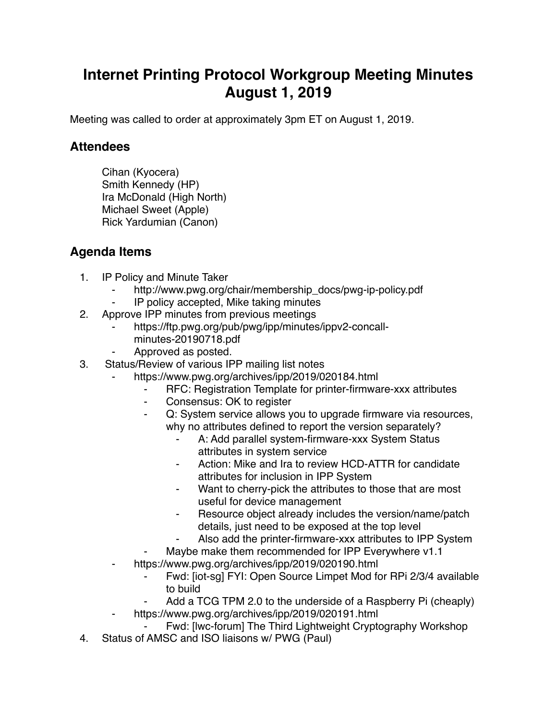## **Internet Printing Protocol Workgroup Meeting Minutes August 1, 2019**

Meeting was called to order at approximately 3pm ET on August 1, 2019.

## **Attendees**

Cihan (Kyocera) Smith Kennedy (HP) Ira McDonald (High North) Michael Sweet (Apple) Rick Yardumian (Canon)

## **Agenda Items**

- 1. IP Policy and Minute Taker
	- http://www.pwg.org/chair/membership\_docs/pwg-ip-policy.pdf
	- IP policy accepted, Mike taking minutes
- 2. Approve IPP minutes from previous meetings
	- https://ftp.pwg.org/pub/pwg/ipp/minutes/ippv2-concallminutes-20190718.pdf
	- Approved as posted.
- 3. Status/Review of various IPP mailing list notes
	- https://www.pwg.org/archives/ipp/2019/020184.html
		- ⁃ RFC: Registration Template for printer-firmware-xxx attributes
		- ⁃ Consensus: OK to register
		- ⁃ Q: System service allows you to upgrade firmware via resources, why no attributes defined to report the version separately?
			- A: Add parallel system-firmware-xxx System Status attributes in system service
			- Action: Mike and Ira to review HCD-ATTR for candidate attributes for inclusion in IPP System
			- Want to cherry-pick the attributes to those that are most useful for device management
			- Resource object already includes the version/name/patch details, just need to be exposed at the top level
			- Also add the printer-firmware-xxx attributes to IPP System
		- Maybe make them recommended for IPP Everywhere v1.1
	- ⁃ https://www.pwg.org/archives/ipp/2019/020190.html
		- Fwd: [iot-sg] FYI: Open Source Limpet Mod for RPi 2/3/4 available to build
		- Add a TCG TPM 2.0 to the underside of a Raspberry Pi (cheaply)
		- https://www.pwg.org/archives/ipp/2019/020191.html
		- Fwd: [Iwc-forum] The Third Lightweight Cryptography Workshop
- 4. Status of AMSC and ISO liaisons w/ PWG (Paul)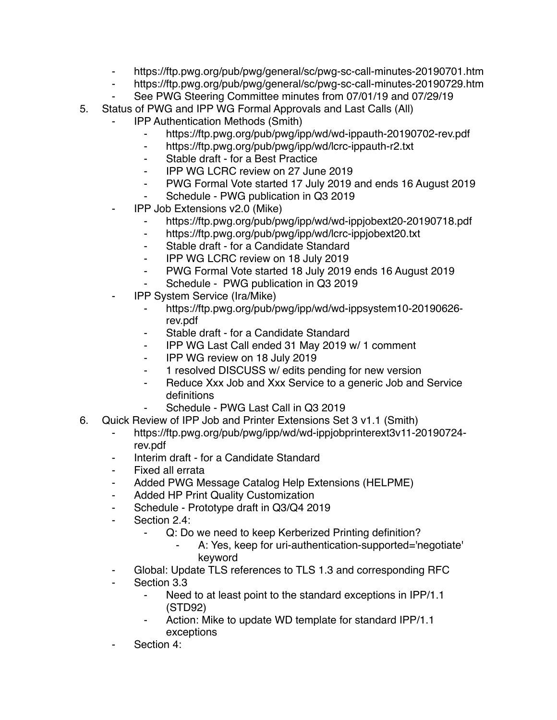- ⁃ https://ftp.pwg.org/pub/pwg/general/sc/pwg-sc-call-minutes-20190701.htm
- https://ftp.pwg.org/pub/pwg/general/sc/pwg-sc-call-minutes-20190729.htm
- See PWG Steering Committee minutes from 07/01/19 and 07/29/19
- 5. Status of PWG and IPP WG Formal Approvals and Last Calls (All)
	- **IPP Authentication Methods (Smith)** 
		- ⁃ https://ftp.pwg.org/pub/pwg/ipp/wd/wd-ippauth-20190702-rev.pdf
		- ⁃ https://ftp.pwg.org/pub/pwg/ipp/wd/lcrc-ippauth-r2.txt
		- ⁃ Stable draft for a Best Practice
		- ⁃ IPP WG LCRC review on 27 June 2019
		- ⁃ PWG Formal Vote started 17 July 2019 and ends 16 August 2019
		- ⁃ Schedule PWG publication in Q3 2019
	- ⁃ IPP Job Extensions v2.0 (Mike)
		- https://ftp.pwg.org/pub/pwg/ipp/wd/wd-ippjobext20-20190718.pdf
		- ⁃ https://ftp.pwg.org/pub/pwg/ipp/wd/lcrc-ippjobext20.txt
		- ⁃ Stable draft for a Candidate Standard
		- ⁃ IPP WG LCRC review on 18 July 2019
		- ⁃ PWG Formal Vote started 18 July 2019 ends 16 August 2019
		- Schedule PWG publication in Q3 2019
	- ⁃ IPP System Service (Ira/Mike)
		- ⁃ https://ftp.pwg.org/pub/pwg/ipp/wd/wd-ippsystem10-20190626 rev.pdf
		- ⁃ Stable draft for a Candidate Standard
		- ⁃ IPP WG Last Call ended 31 May 2019 w/ 1 comment
		- ⁃ IPP WG review on 18 July 2019
		- ⁃ 1 resolved DISCUSS w/ edits pending for new version
		- ⁃ Reduce Xxx Job and Xxx Service to a generic Job and Service definitions
			- Schedule PWG Last Call in Q3 2019
- 6. Quick Review of IPP Job and Printer Extensions Set 3 v1.1 (Smith)
	- ⁃ https://ftp.pwg.org/pub/pwg/ipp/wd/wd-ippjobprinterext3v11-20190724 rev.pdf
	- ⁃ Interim draft for a Candidate Standard
	- Fixed all errata
	- ⁃ Added PWG Message Catalog Help Extensions (HELPME)
	- ⁃ Added HP Print Quality Customization
	- Schedule Prototype draft in Q3/Q4 2019
	- ⁃ Section 2.4:
		- ⁃ Q: Do we need to keep Kerberized Printing definition?
			- A: Yes, keep for uri-authentication-supported='negotiate' keyword
	- Global: Update TLS references to TLS 1.3 and corresponding RFC
	- ⁃ Section 3.3
		- Need to at least point to the standard exceptions in IPP/1.1 (STD92)
		- Action: Mike to update WD template for standard IPP/1.1 exceptions
	- Section 4: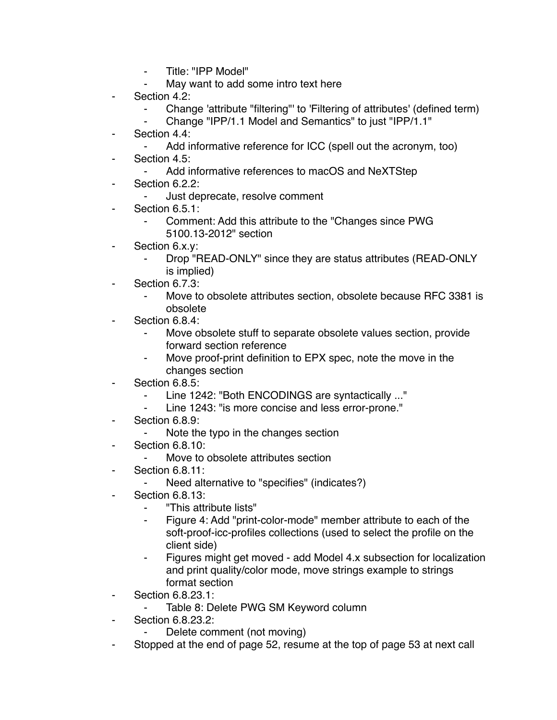- ⁃ Title: "IPP Model"
- May want to add some intro text here
- Section 4.2:
	- ⁃ Change 'attribute "filtering"' to 'Filtering of attributes' (defined term)
	- ⁃ Change "IPP/1.1 Model and Semantics" to just "IPP/1.1"
- Section 4.4:
	- Add informative reference for ICC (spell out the acronym, too)
- Section 4.5:
	- Add informative references to macOS and NeXTStep
- Section 6.2.2:
	- Just deprecate, resolve comment
- Section 6.5.1:
	- Comment: Add this attribute to the "Changes since PWG
	- 5100.13-2012" section
- ⁃ Section 6.x.y:
	- Drop "READ-ONLY" since they are status attributes (READ-ONLY is implied)
- Section 6.7.3:
	- Move to obsolete attributes section, obsolete because RFC 3381 is obsolete
- Section 6.8.4:
	- ⁃ Move obsolete stuff to separate obsolete values section, provide forward section reference
	- Move proof-print definition to EPX spec, note the move in the changes section
- Section 6.8.5:
	- ⁃ Line 1242: "Both ENCODINGS are syntactically ..."
		- Line 1243: "is more concise and less error-prone."
- Section 6.8.9:
	- Note the typo in the changes section
- **Section 6.8.10:** 
	- ⁃ Move to obsolete attributes section
- **Section 6.8.11:** 
	- ⁃ Need alternative to "specifies" (indicates?)
- **Section 6.8.13:** 
	- ⁃ "This attribute lists"
	- ⁃ Figure 4: Add "print-color-mode" member attribute to each of the soft-proof-icc-profiles collections (used to select the profile on the client side)
	- Figures might get moved add Model 4.x subsection for localization and print quality/color mode, move strings example to strings format section
- Section 6.8.23.1:
	- Table 8: Delete PWG SM Keyword column
- Section 6.8.23.2:
	- Delete comment (not moving)
- Stopped at the end of page 52, resume at the top of page 53 at next call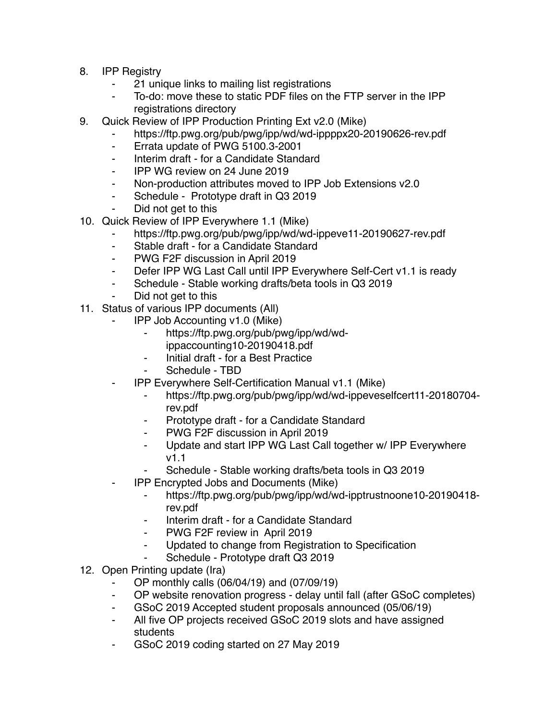- 8. IPP Registry
	- ⁃ 21 unique links to mailing list registrations
	- To-do: move these to static PDF files on the FTP server in the IPP registrations directory
- 9. Quick Review of IPP Production Printing Ext v2.0 (Mike)
	- https://ftp.pwg.org/pub/pwg/ipp/wd/wd-ippppx20-20190626-rev.pdf
	- ⁃ Errata update of PWG 5100.3-2001
	- ⁃ Interim draft for a Candidate Standard
	- ⁃ IPP WG review on 24 June 2019
	- ⁃ Non-production attributes moved to IPP Job Extensions v2.0
	- ⁃ Schedule Prototype draft in Q3 2019
	- Did not get to this
- 10. Quick Review of IPP Everywhere 1.1 (Mike)
	- https://ftp.pwg.org/pub/pwg/ipp/wd/wd-ippeve11-20190627-rev.pdf
	- ⁃ Stable draft for a Candidate Standard
	- ⁃ PWG F2F discussion in April 2019
	- Defer IPP WG Last Call until IPP Everywhere Self-Cert v1.1 is ready
	- ⁃ Schedule Stable working drafts/beta tools in Q3 2019
	- Did not get to this
- 11. Status of various IPP documents (All)
	- ⁃ IPP Job Accounting v1.0 (Mike)
		- ⁃ https://ftp.pwg.org/pub/pwg/ipp/wd/wdippaccounting10-20190418.pdf
		- ⁃ Initial draft for a Best Practice
		- Schedule TBD
	- ⁃ IPP Everywhere Self-Certification Manual v1.1 (Mike)
		- ⁃ https://ftp.pwg.org/pub/pwg/ipp/wd/wd-ippeveselfcert11-20180704 rev.pdf
		- Prototype draft for a Candidate Standard
		- ⁃ PWG F2F discussion in April 2019
		- ⁃ Update and start IPP WG Last Call together w/ IPP Everywhere v1.1
		- Schedule Stable working drafts/beta tools in Q3 2019
	- ⁃ IPP Encrypted Jobs and Documents (Mike)
		- ⁃ https://ftp.pwg.org/pub/pwg/ipp/wd/wd-ipptrustnoone10-20190418 rev.pdf
		- ⁃ Interim draft for a Candidate Standard
		- PWG F2F review in April 2019
		- Updated to change from Registration to Specification
		- Schedule Prototype draft Q3 2019
- 12. Open Printing update (Ira)
	- ⁃ OP monthly calls (06/04/19) and (07/09/19)
	- OP website renovation progress delay until fall (after GSoC completes)
	- GSoC 2019 Accepted student proposals announced (05/06/19)
	- ⁃ All five OP projects received GSoC 2019 slots and have assigned students
	- ⁃ GSoC 2019 coding started on 27 May 2019